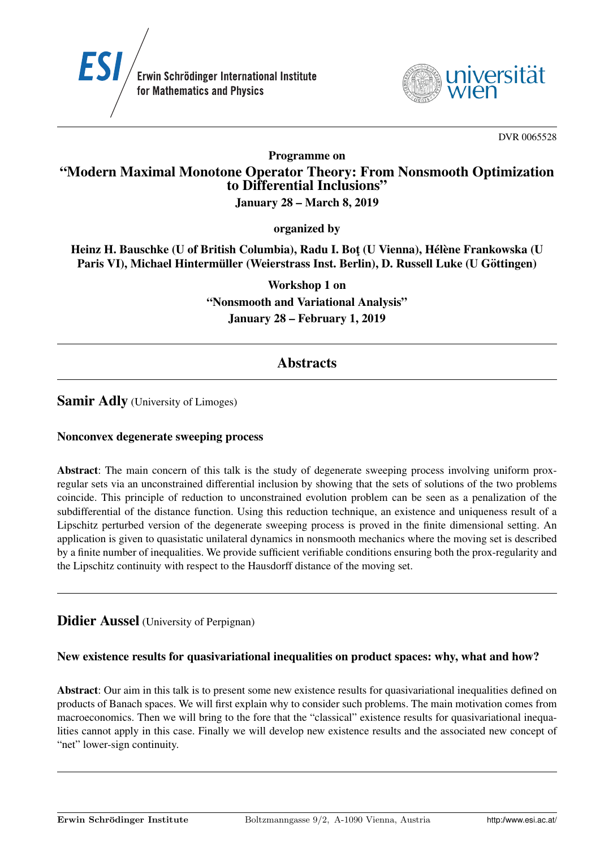



DVR 0065528

Programme on

# "Modern Maximal Monotone Operator Theory: From Nonsmooth Optimization to Differential Inclusions"

### January 28 – March 8, 2019

organized by

Heinz H. Bauschke (U of British Columbia), Radu I. Bot (U Vienna), Hélène Frankowska (U Paris VI), Michael Hintermüller (Weierstrass Inst. Berlin), D. Russell Luke (U Göttingen)

> Workshop 1 on "Nonsmooth and Variational Analysis" January 28 – February 1, 2019

# **Abstracts**

# Samir Adly (University of Limoges)

#### Nonconvex degenerate sweeping process

Abstract: The main concern of this talk is the study of degenerate sweeping process involving uniform proxregular sets via an unconstrained differential inclusion by showing that the sets of solutions of the two problems coincide. This principle of reduction to unconstrained evolution problem can be seen as a penalization of the subdifferential of the distance function. Using this reduction technique, an existence and uniqueness result of a Lipschitz perturbed version of the degenerate sweeping process is proved in the finite dimensional setting. An application is given to quasistatic unilateral dynamics in nonsmooth mechanics where the moving set is described by a finite number of inequalities. We provide sufficient verifiable conditions ensuring both the prox-regularity and the Lipschitz continuity with respect to the Hausdorff distance of the moving set.

# **Didier Aussel** (University of Perpignan)

# New existence results for quasivariational inequalities on product spaces: why, what and how?

Abstract: Our aim in this talk is to present some new existence results for quasivariational inequalities defined on products of Banach spaces. We will first explain why to consider such problems. The main motivation comes from macroeconomics. Then we will bring to the fore that the "classical" existence results for quasivariational inequalities cannot apply in this case. Finally we will develop new existence results and the associated new concept of "net" lower-sign continuity.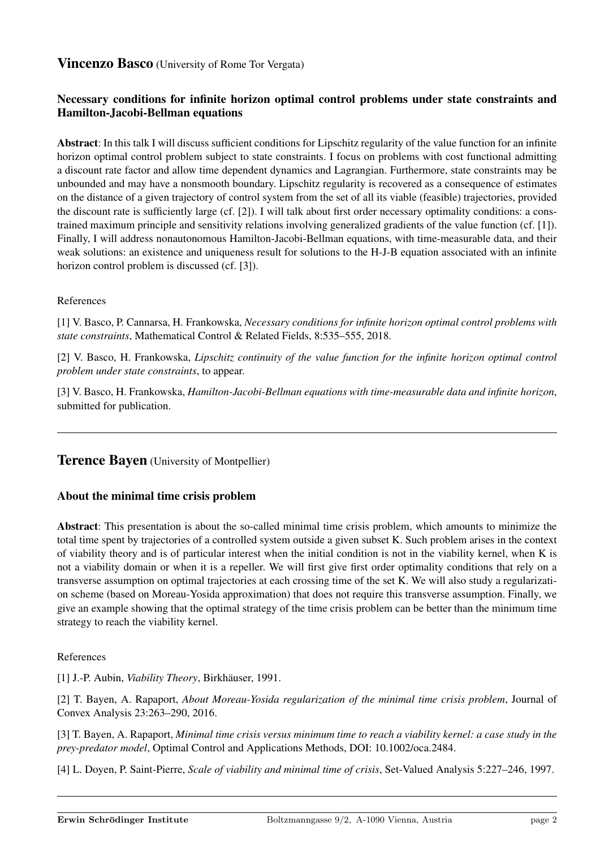# **Vincenzo Basco** (University of Rome Tor Vergata)

# Necessary conditions for infinite horizon optimal control problems under state constraints and Hamilton-Jacobi-Bellman equations

Abstract: In this talk I will discuss sufficient conditions for Lipschitz regularity of the value function for an infinite horizon optimal control problem subject to state constraints. I focus on problems with cost functional admitting a discount rate factor and allow time dependent dynamics and Lagrangian. Furthermore, state constraints may be unbounded and may have a nonsmooth boundary. Lipschitz regularity is recovered as a consequence of estimates on the distance of a given trajectory of control system from the set of all its viable (feasible) trajectories, provided the discount rate is sufficiently large (cf. [2]). I will talk about first order necessary optimality conditions: a constrained maximum principle and sensitivity relations involving generalized gradients of the value function (cf. [1]). Finally, I will address nonautonomous Hamilton-Jacobi-Bellman equations, with time-measurable data, and their weak solutions: an existence and uniqueness result for solutions to the H-J-B equation associated with an infinite horizon control problem is discussed (cf. [3]).

#### References

[1] V. Basco, P. Cannarsa, H. Frankowska, *Necessary conditions for infinite horizon optimal control problems with state constraints*, Mathematical Control & Related Fields, 8:535–555, 2018.

[2] V. Basco, H. Frankowska, *Lipschitz continuity of the value function for the infinite horizon optimal control problem under state constraints*, to appear.

[3] V. Basco, H. Frankowska, *Hamilton-Jacobi-Bellman equations with time-measurable data and infinite horizon*, submitted for publication.

# **Terence Bayen** (University of Montpellier)

#### About the minimal time crisis problem

Abstract: This presentation is about the so-called minimal time crisis problem, which amounts to minimize the total time spent by trajectories of a controlled system outside a given subset K. Such problem arises in the context of viability theory and is of particular interest when the initial condition is not in the viability kernel, when K is not a viability domain or when it is a repeller. We will first give first order optimality conditions that rely on a transverse assumption on optimal trajectories at each crossing time of the set K. We will also study a regularization scheme (based on Moreau-Yosida approximation) that does not require this transverse assumption. Finally, we give an example showing that the optimal strategy of the time crisis problem can be better than the minimum time strategy to reach the viability kernel.

#### References

[1] J.-P. Aubin, *Viability Theory*, Birkhauser, 1991. ¨

[2] T. Bayen, A. Rapaport, *About Moreau-Yosida regularization of the minimal time crisis problem*, Journal of Convex Analysis 23:263–290, 2016.

[3] T. Bayen, A. Rapaport, *Minimal time crisis versus minimum time to reach a viability kernel: a case study in the prey-predator model*, Optimal Control and Applications Methods, DOI: 10.1002/oca.2484.

[4] L. Doyen, P. Saint-Pierre, *Scale of viability and minimal time of crisis*, Set-Valued Analysis 5:227–246, 1997.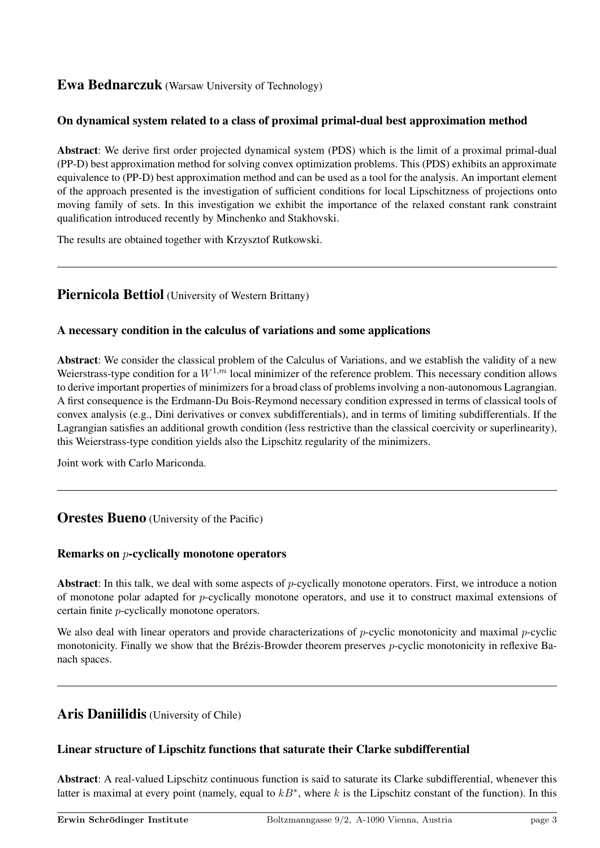# Ewa Bednarczuk (Warsaw University of Technology)

# On dynamical system related to a class of proximal primal-dual best approximation method

Abstract: We derive first order projected dynamical system (PDS) which is the limit of a proximal primal-dual (PP-D) best approximation method for solving convex optimization problems. This (PDS) exhibits an approximate equivalence to (PP-D) best approximation method and can be used as a tool for the analysis. An important element of the approach presented is the investigation of sufficient conditions for local Lipschitzness of projections onto moving family of sets. In this investigation we exhibit the importance of the relaxed constant rank constraint qualification introduced recently by Minchenko and Stakhovski.

The results are obtained together with Krzysztof Rutkowski.

# Piernicola Bettiol (University of Western Brittany)

#### A necessary condition in the calculus of variations and some applications

Abstract: We consider the classical problem of the Calculus of Variations, and we establish the validity of a new Weierstrass-type condition for a  $W^{1,m}$  local minimizer of the reference problem. This necessary condition allows to derive important properties of minimizers for a broad class of problems involving a non-autonomous Lagrangian. A first consequence is the Erdmann-Du Bois-Reymond necessary condition expressed in terms of classical tools of convex analysis (e.g., Dini derivatives or convex subdifferentials), and in terms of limiting subdifferentials. If the Lagrangian satisfies an additional growth condition (less restrictive than the classical coercivity or superlinearity), this Weierstrass-type condition yields also the Lipschitz regularity of the minimizers.

Joint work with Carlo Mariconda.

# **Orestes Bueno** (University of the Pacific)

#### Remarks on p-cyclically monotone operators

Abstract: In this talk, we deal with some aspects of  $p$ -cyclically monotone operators. First, we introduce a notion of monotone polar adapted for p-cyclically monotone operators, and use it to construct maximal extensions of certain finite p-cyclically monotone operators.

We also deal with linear operators and provide characterizations of  $p$ -cyclic monotonicity and maximal  $p$ -cyclic monotonicity. Finally we show that the Brézis-Browder theorem preserves  $p$ -cyclic monotonicity in reflexive Banach spaces.

# Aris Daniilidis (University of Chile)

# Linear structure of Lipschitz functions that saturate their Clarke subdifferential

Abstract: A real-valued Lipschitz continuous function is said to saturate its Clarke subdifferential, whenever this latter is maximal at every point (namely, equal to  $kB^*$ , where k is the Lipschitz constant of the function). In this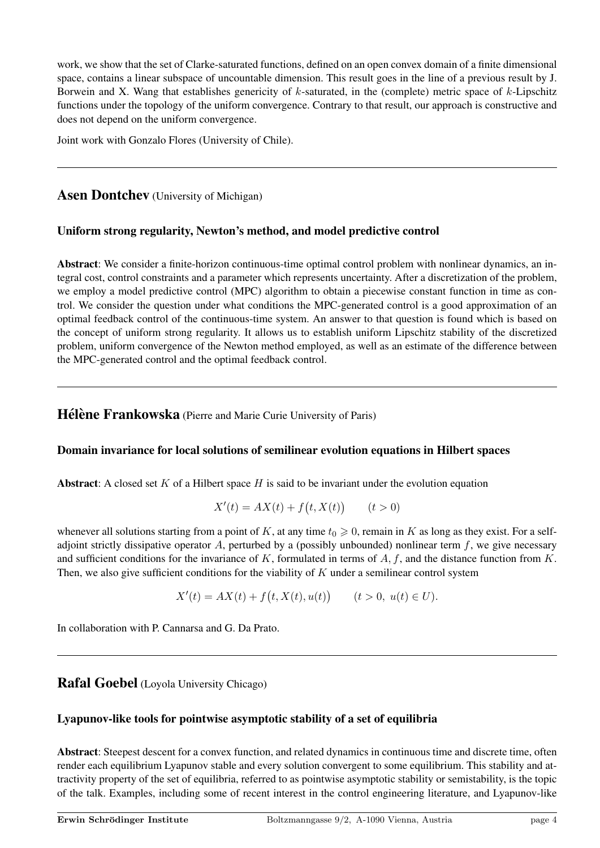work, we show that the set of Clarke-saturated functions, defined on an open convex domain of a finite dimensional space, contains a linear subspace of uncountable dimension. This result goes in the line of a previous result by J. Borwein and X. Wang that establishes genericity of  $k$ -saturated, in the (complete) metric space of  $k$ -Lipschitz functions under the topology of the uniform convergence. Contrary to that result, our approach is constructive and does not depend on the uniform convergence.

Joint work with Gonzalo Flores (University of Chile).

Asen Dontchev (University of Michigan)

#### Uniform strong regularity, Newton's method, and model predictive control

Abstract: We consider a finite-horizon continuous-time optimal control problem with nonlinear dynamics, an integral cost, control constraints and a parameter which represents uncertainty. After a discretization of the problem, we employ a model predictive control (MPC) algorithm to obtain a piecewise constant function in time as control. We consider the question under what conditions the MPC-generated control is a good approximation of an optimal feedback control of the continuous-time system. An answer to that question is found which is based on the concept of uniform strong regularity. It allows us to establish uniform Lipschitz stability of the discretized problem, uniform convergence of the Newton method employed, as well as an estimate of the difference between the MPC-generated control and the optimal feedback control.

Hélène Frankowska (Pierre and Marie Curie University of Paris)

#### Domain invariance for local solutions of semilinear evolution equations in Hilbert spaces

Abstract: A closed set  $K$  of a Hilbert space  $H$  is said to be invariant under the evolution equation

$$
X'(t) = AX(t) + f(t, X(t)) \qquad (t > 0)
$$

whenever all solutions starting from a point of K, at any time  $t_0 \geq 0$ , remain in K as long as they exist. For a selfadjoint strictly dissipative operator A, perturbed by a (possibly unbounded) nonlinear term  $f$ , we give necessary and sufficient conditions for the invariance of K, formulated in terms of  $A, f$ , and the distance function from K. Then, we also give sufficient conditions for the viability of  $K$  under a semilinear control system

 $X'(t) = AX(t) + f(t, X(t), u(t))$   $(t > 0, u(t) \in U).$ 

In collaboration with P. Cannarsa and G. Da Prato.

# Rafal Goebel (Loyola University Chicago)

# Lyapunov-like tools for pointwise asymptotic stability of a set of equilibria

Abstract: Steepest descent for a convex function, and related dynamics in continuous time and discrete time, often render each equilibrium Lyapunov stable and every solution convergent to some equilibrium. This stability and attractivity property of the set of equilibria, referred to as pointwise asymptotic stability or semistability, is the topic of the talk. Examples, including some of recent interest in the control engineering literature, and Lyapunov-like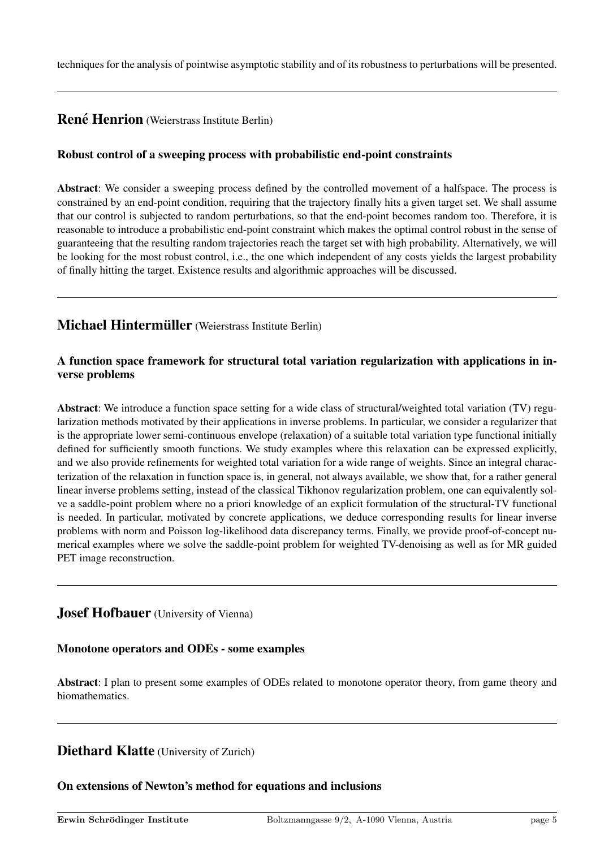techniques for the analysis of pointwise asymptotic stability and of its robustness to perturbations will be presented.

# **René Henrion** (Weierstrass Institute Berlin)

### Robust control of a sweeping process with probabilistic end-point constraints

Abstract: We consider a sweeping process defined by the controlled movement of a halfspace. The process is constrained by an end-point condition, requiring that the trajectory finally hits a given target set. We shall assume that our control is subjected to random perturbations, so that the end-point becomes random too. Therefore, it is reasonable to introduce a probabilistic end-point constraint which makes the optimal control robust in the sense of guaranteeing that the resulting random trajectories reach the target set with high probability. Alternatively, we will be looking for the most robust control, i.e., the one which independent of any costs yields the largest probability of finally hitting the target. Existence results and algorithmic approaches will be discussed.

# Michael Hintermüller (Weierstrass Institute Berlin)

#### A function space framework for structural total variation regularization with applications in inverse problems

Abstract: We introduce a function space setting for a wide class of structural/weighted total variation (TV) regularization methods motivated by their applications in inverse problems. In particular, we consider a regularizer that is the appropriate lower semi-continuous envelope (relaxation) of a suitable total variation type functional initially defined for sufficiently smooth functions. We study examples where this relaxation can be expressed explicitly, and we also provide refinements for weighted total variation for a wide range of weights. Since an integral characterization of the relaxation in function space is, in general, not always available, we show that, for a rather general linear inverse problems setting, instead of the classical Tikhonov regularization problem, one can equivalently solve a saddle-point problem where no a priori knowledge of an explicit formulation of the structural-TV functional is needed. In particular, motivated by concrete applications, we deduce corresponding results for linear inverse problems with norm and Poisson log-likelihood data discrepancy terms. Finally, we provide proof-of-concept numerical examples where we solve the saddle-point problem for weighted TV-denoising as well as for MR guided PET image reconstruction.

# **Josef Hofbauer** (University of Vienna)

#### Monotone operators and ODEs - some examples

Abstract: I plan to present some examples of ODEs related to monotone operator theory, from game theory and biomathematics.

# Diethard Klatte (University of Zurich)

#### On extensions of Newton's method for equations and inclusions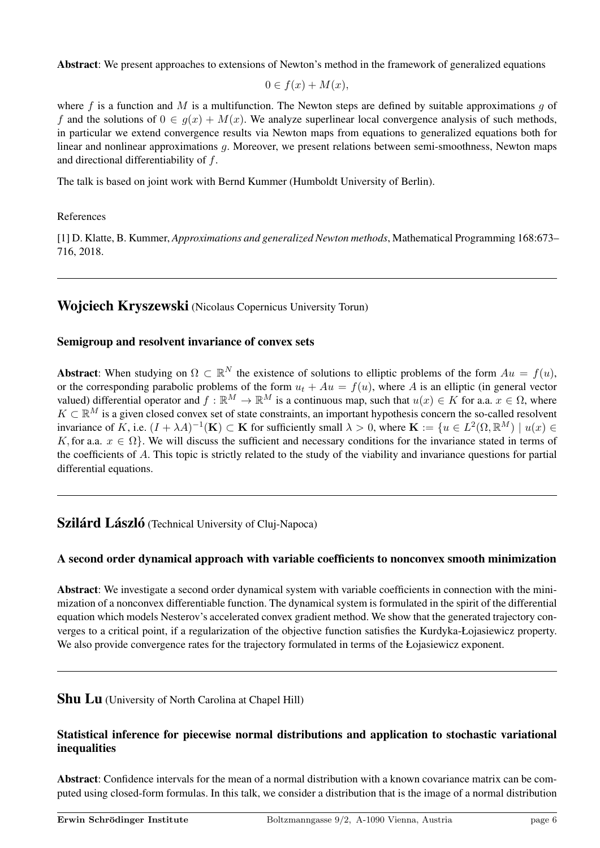Abstract: We present approaches to extensions of Newton's method in the framework of generalized equations

$$
0 \in f(x) + M(x),
$$

where f is a function and M is a multifunction. The Newton steps are defined by suitable approximations q of f and the solutions of  $0 \in g(x) + M(x)$ . We analyze superlinear local convergence analysis of such methods, in particular we extend convergence results via Newton maps from equations to generalized equations both for linear and nonlinear approximations g. Moreover, we present relations between semi-smoothness, Newton maps and directional differentiability of f.

The talk is based on joint work with Bernd Kummer (Humboldt University of Berlin).

#### References

[1] D. Klatte, B. Kummer, *Approximations and generalized Newton methods*, Mathematical Programming 168:673– 716, 2018.

# Wojciech Kryszewski (Nicolaus Copernicus University Torun)

#### Semigroup and resolvent invariance of convex sets

**Abstract:** When studying on  $\Omega \subset \mathbb{R}^N$  the existence of solutions to elliptic problems of the form  $Au = f(u)$ , or the corresponding parabolic problems of the form  $u_t + Au = f(u)$ , where A is an elliptic (in general vector valued) differential operator and  $f : \mathbb{R}^M \to \mathbb{R}^M$  is a continuous map, such that  $u(x) \in K$  for a.a.  $x \in \Omega$ , where  $K \subset \mathbb{R}^M$  is a given closed convex set of state constraints, an important hypothesis concern the so-called resolvent invariance of K, i.e.  $(I + \lambda A)^{-1}(\mathbf{K}) \subset \mathbf{K}$  for sufficiently small  $\lambda > 0$ , where  $\mathbf{K} := \{u \in L^2(\Omega, \mathbb{R}^M) \mid u(x) \in$ K, for a.a.  $x \in \Omega$ . We will discuss the sufficient and necessary conditions for the invariance stated in terms of the coefficients of A. This topic is strictly related to the study of the viability and invariance questions for partial differential equations.

# **Szilárd László** (Technical University of Cluj-Napoca)

#### A second order dynamical approach with variable coefficients to nonconvex smooth minimization

Abstract: We investigate a second order dynamical system with variable coefficients in connection with the minimization of a nonconvex differentiable function. The dynamical system is formulated in the spirit of the differential equation which models Nesterov's accelerated convex gradient method. We show that the generated trajectory converges to a critical point, if a regularization of the objective function satisfies the Kurdyka-Łojasiewicz property. We also provide convergence rates for the trajectory formulated in terms of the Łojasiewicz exponent.

**Shu Lu** (University of North Carolina at Chapel Hill)

#### Statistical inference for piecewise normal distributions and application to stochastic variational inequalities

Abstract: Confidence intervals for the mean of a normal distribution with a known covariance matrix can be computed using closed-form formulas. In this talk, we consider a distribution that is the image of a normal distribution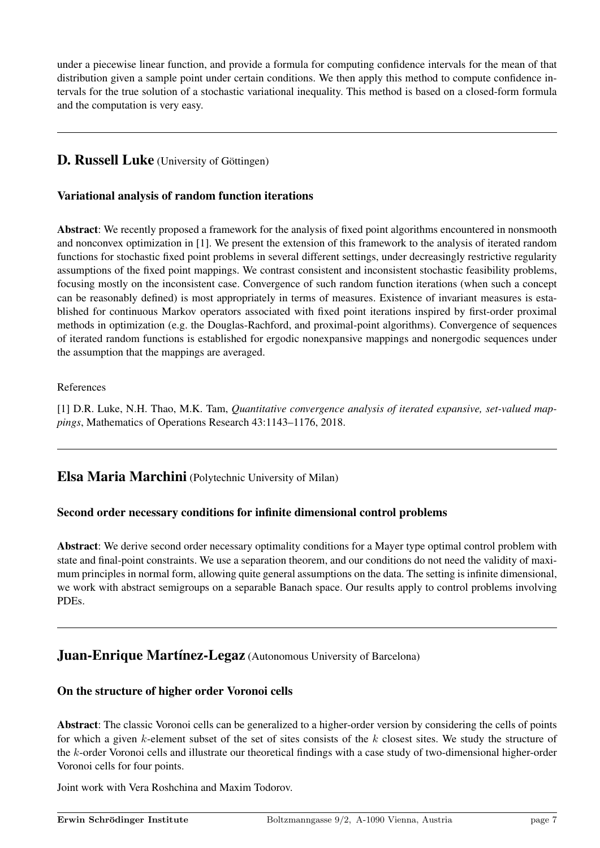under a piecewise linear function, and provide a formula for computing confidence intervals for the mean of that distribution given a sample point under certain conditions. We then apply this method to compute confidence intervals for the true solution of a stochastic variational inequality. This method is based on a closed-form formula and the computation is very easy.

# D. Russell Luke (University of Göttingen)

### Variational analysis of random function iterations

Abstract: We recently proposed a framework for the analysis of fixed point algorithms encountered in nonsmooth and nonconvex optimization in [1]. We present the extension of this framework to the analysis of iterated random functions for stochastic fixed point problems in several different settings, under decreasingly restrictive regularity assumptions of the fixed point mappings. We contrast consistent and inconsistent stochastic feasibility problems, focusing mostly on the inconsistent case. Convergence of such random function iterations (when such a concept can be reasonably defined) is most appropriately in terms of measures. Existence of invariant measures is established for continuous Markov operators associated with fixed point iterations inspired by first-order proximal methods in optimization (e.g. the Douglas-Rachford, and proximal-point algorithms). Convergence of sequences of iterated random functions is established for ergodic nonexpansive mappings and nonergodic sequences under the assumption that the mappings are averaged.

#### References

[1] D.R. Luke, N.H. Thao, M.K. Tam, *Quantitative convergence analysis of iterated expansive, set-valued mappings*, Mathematics of Operations Research 43:1143–1176, 2018.

# Elsa Maria Marchini (Polytechnic University of Milan)

#### Second order necessary conditions for infinite dimensional control problems

Abstract: We derive second order necessary optimality conditions for a Mayer type optimal control problem with state and final-point constraints. We use a separation theorem, and our conditions do not need the validity of maximum principles in normal form, allowing quite general assumptions on the data. The setting is infinite dimensional, we work with abstract semigroups on a separable Banach space. Our results apply to control problems involving PDEs.

# **Juan-Enrique Martínez-Legaz** (Autonomous University of Barcelona)

#### On the structure of higher order Voronoi cells

Abstract: The classic Voronoi cells can be generalized to a higher-order version by considering the cells of points for which a given  $k$ -element subset of the set of sites consists of the  $k$  closest sites. We study the structure of the k-order Voronoi cells and illustrate our theoretical findings with a case study of two-dimensional higher-order Voronoi cells for four points.

Joint work with Vera Roshchina and Maxim Todorov.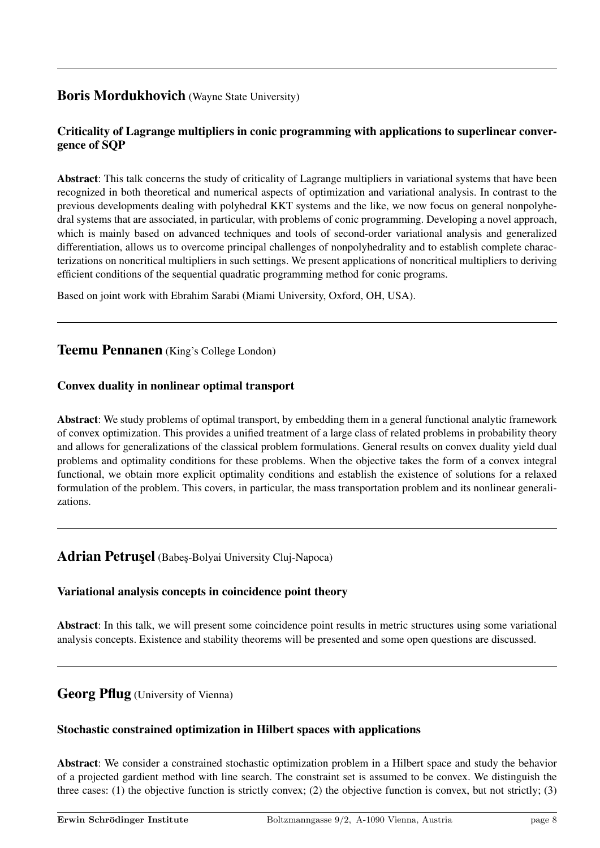# Boris Mordukhovich (Wayne State University)

# Criticality of Lagrange multipliers in conic programming with applications to superlinear convergence of SQP

Abstract: This talk concerns the study of criticality of Lagrange multipliers in variational systems that have been recognized in both theoretical and numerical aspects of optimization and variational analysis. In contrast to the previous developments dealing with polyhedral KKT systems and the like, we now focus on general nonpolyhedral systems that are associated, in particular, with problems of conic programming. Developing a novel approach, which is mainly based on advanced techniques and tools of second-order variational analysis and generalized differentiation, allows us to overcome principal challenges of nonpolyhedrality and to establish complete characterizations on noncritical multipliers in such settings. We present applications of noncritical multipliers to deriving efficient conditions of the sequential quadratic programming method for conic programs.

Based on joint work with Ebrahim Sarabi (Miami University, Oxford, OH, USA).

# Teemu Pennanen (King's College London)

#### Convex duality in nonlinear optimal transport

Abstract: We study problems of optimal transport, by embedding them in a general functional analytic framework of convex optimization. This provides a unified treatment of a large class of related problems in probability theory and allows for generalizations of the classical problem formulations. General results on convex duality yield dual problems and optimality conditions for these problems. When the objective takes the form of a convex integral functional, we obtain more explicit optimality conditions and establish the existence of solutions for a relaxed formulation of the problem. This covers, in particular, the mass transportation problem and its nonlinear generalizations.

# Adrian Petrusel (Babes-Bolyai University Cluj-Napoca)

#### Variational analysis concepts in coincidence point theory

Abstract: In this talk, we will present some coincidence point results in metric structures using some variational analysis concepts. Existence and stability theorems will be presented and some open questions are discussed.

# Georg Pflug (University of Vienna)

#### Stochastic constrained optimization in Hilbert spaces with applications

Abstract: We consider a constrained stochastic optimization problem in a Hilbert space and study the behavior of a projected gardient method with line search. The constraint set is assumed to be convex. We distinguish the three cases: (1) the objective function is strictly convex; (2) the objective function is convex, but not strictly; (3)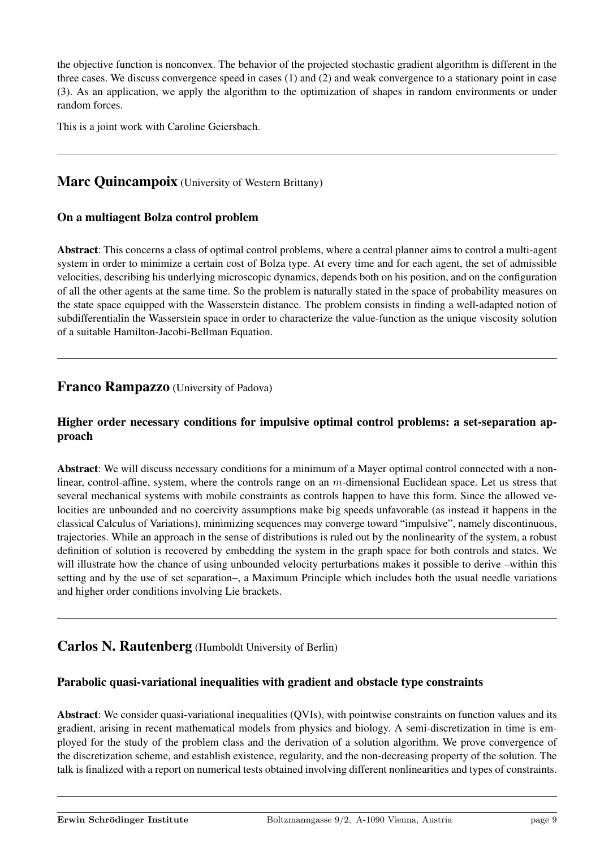the objective function is nonconvex. The behavior of the projected stochastic gradient algorithm is different in the three cases. We discuss convergence speed in cases (1) and (2) and weak convergence to a stationary point in case (3). As an application, we apply the algorithm to the optimization of shapes in random environments or under random forces.

This is a joint work with Caroline Geiersbach.

# Marc Ouincampoix (University of Western Brittany)

#### On a multiagent Bolza control problem

Abstract: This concerns a class of optimal control problems, where a central planner aims to control a multi-agent system in order to minimize a certain cost of Bolza type. At every time and for each agent, the set of admissible velocities, describing his underlying microscopic dynamics, depends both on his position, and on the configuration of all the other agents at the same time. So the problem is naturally stated in the space of probability measures on the state space equipped with the Wasserstein distance. The problem consists in finding a well-adapted notion of subdifferentialin the Wasserstein space in order to characterize the value-function as the unique viscosity solution of a suitable Hamilton-Jacobi-Bellman Equation.

# Franco Rampazzo (University of Padova)

#### Higher order necessary conditions for impulsive optimal control problems: a set-separation approach

Abstract: We will discuss necessary conditions for a minimum of a Mayer optimal control connected with a nonlinear, control-affine, system, where the controls range on an m-dimensional Euclidean space. Let us stress that several mechanical systems with mobile constraints as controls happen to have this form. Since the allowed velocities are unbounded and no coercivity assumptions make big speeds unfavorable (as instead it happens in the classical Calculus of Variations), minimizing sequences may converge toward "impulsive", namely discontinuous, trajectories. While an approach in the sense of distributions is ruled out by the nonlinearity of the system, a robust definition of solution is recovered by embedding the system in the graph space for both controls and states. We will illustrate how the chance of using unbounded velocity perturbations makes it possible to derive –within this setting and by the use of set separation–, a Maximum Principle which includes both the usual needle variations and higher order conditions involving Lie brackets.

# Carlos N. Rautenberg (Humboldt University of Berlin)

#### Parabolic quasi-variational inequalities with gradient and obstacle type constraints

Abstract: We consider quasi-variational inequalities (QVIs), with pointwise constraints on function values and its gradient, arising in recent mathematical models from physics and biology. A semi-discretization in time is employed for the study of the problem class and the derivation of a solution algorithm. We prove convergence of the discretization scheme, and establish existence, regularity, and the non-decreasing property of the solution. The talk is finalized with a report on numerical tests obtained involving different nonlinearities and types of constraints.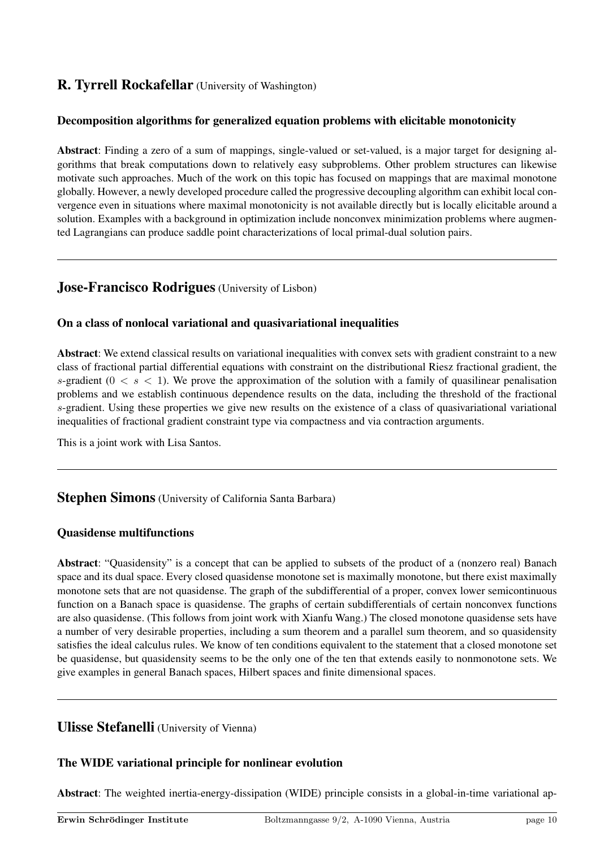# R. Tyrrell Rockafellar (University of Washington)

### Decomposition algorithms for generalized equation problems with elicitable monotonicity

Abstract: Finding a zero of a sum of mappings, single-valued or set-valued, is a major target for designing algorithms that break computations down to relatively easy subproblems. Other problem structures can likewise motivate such approaches. Much of the work on this topic has focused on mappings that are maximal monotone globally. However, a newly developed procedure called the progressive decoupling algorithm can exhibit local convergence even in situations where maximal monotonicity is not available directly but is locally elicitable around a solution. Examples with a background in optimization include nonconvex minimization problems where augmented Lagrangians can produce saddle point characterizations of local primal-dual solution pairs.

# Jose-Francisco Rodrigues (University of Lisbon)

#### On a class of nonlocal variational and quasivariational inequalities

Abstract: We extend classical results on variational inequalities with convex sets with gradient constraint to a new class of fractional partial differential equations with constraint on the distributional Riesz fractional gradient, the s-gradient  $(0 \lt s \lt 1)$ . We prove the approximation of the solution with a family of quasilinear penalisation problems and we establish continuous dependence results on the data, including the threshold of the fractional s-gradient. Using these properties we give new results on the existence of a class of quasivariational variational inequalities of fractional gradient constraint type via compactness and via contraction arguments.

This is a joint work with Lisa Santos.

# **Stephen Simons** (University of California Santa Barbara)

#### Quasidense multifunctions

Abstract: "Quasidensity" is a concept that can be applied to subsets of the product of a (nonzero real) Banach space and its dual space. Every closed quasidense monotone set is maximally monotone, but there exist maximally monotone sets that are not quasidense. The graph of the subdifferential of a proper, convex lower semicontinuous function on a Banach space is quasidense. The graphs of certain subdifferentials of certain nonconvex functions are also quasidense. (This follows from joint work with Xianfu Wang.) The closed monotone quasidense sets have a number of very desirable properties, including a sum theorem and a parallel sum theorem, and so quasidensity satisfies the ideal calculus rules. We know of ten conditions equivalent to the statement that a closed monotone set be quasidense, but quasidensity seems to be the only one of the ten that extends easily to nonmonotone sets. We give examples in general Banach spaces, Hilbert spaces and finite dimensional spaces.

# Ulisse Stefanelli (University of Vienna)

# The WIDE variational principle for nonlinear evolution

Abstract: The weighted inertia-energy-dissipation (WIDE) principle consists in a global-in-time variational ap-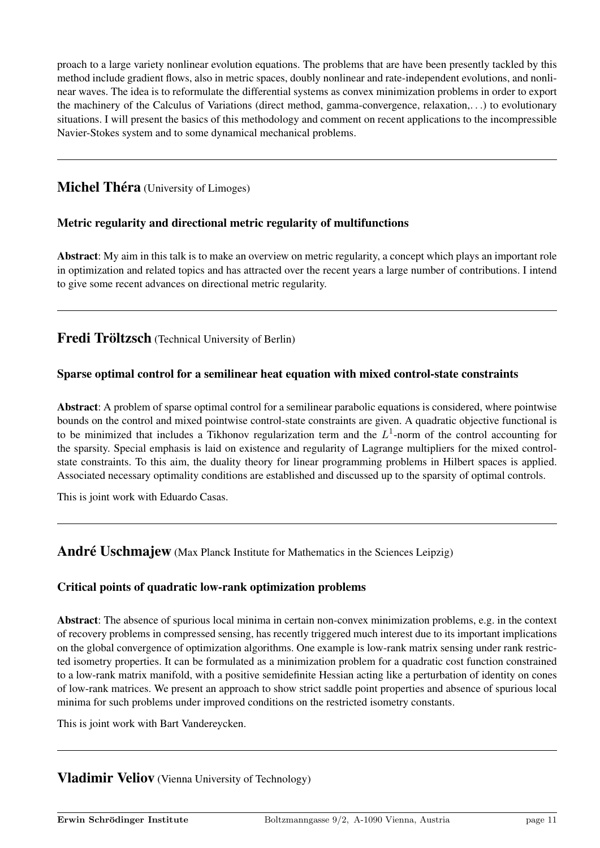proach to a large variety nonlinear evolution equations. The problems that are have been presently tackled by this method include gradient flows, also in metric spaces, doubly nonlinear and rate-independent evolutions, and nonlinear waves. The idea is to reformulate the differential systems as convex minimization problems in order to export the machinery of the Calculus of Variations (direct method, gamma-convergence, relaxation,. . .) to evolutionary situations. I will present the basics of this methodology and comment on recent applications to the incompressible Navier-Stokes system and to some dynamical mechanical problems.

# **Michel Théra** (University of Limoges)

# Metric regularity and directional metric regularity of multifunctions

Abstract: My aim in this talk is to make an overview on metric regularity, a concept which plays an important role in optimization and related topics and has attracted over the recent years a large number of contributions. I intend to give some recent advances on directional metric regularity.

Fredi Tröltzsch (Technical University of Berlin)

# Sparse optimal control for a semilinear heat equation with mixed control-state constraints

Abstract: A problem of sparse optimal control for a semilinear parabolic equations is considered, where pointwise bounds on the control and mixed pointwise control-state constraints are given. A quadratic objective functional is to be minimized that includes a Tikhonov regularization term and the  $L^1$ -norm of the control accounting for the sparsity. Special emphasis is laid on existence and regularity of Lagrange multipliers for the mixed controlstate constraints. To this aim, the duality theory for linear programming problems in Hilbert spaces is applied. Associated necessary optimality conditions are established and discussed up to the sparsity of optimal controls.

This is joint work with Eduardo Casas.

# André Uschmajew (Max Planck Institute for Mathematics in the Sciences Leipzig)

#### Critical points of quadratic low-rank optimization problems

Abstract: The absence of spurious local minima in certain non-convex minimization problems, e.g. in the context of recovery problems in compressed sensing, has recently triggered much interest due to its important implications on the global convergence of optimization algorithms. One example is low-rank matrix sensing under rank restricted isometry properties. It can be formulated as a minimization problem for a quadratic cost function constrained to a low-rank matrix manifold, with a positive semidefinite Hessian acting like a perturbation of identity on cones of low-rank matrices. We present an approach to show strict saddle point properties and absence of spurious local minima for such problems under improved conditions on the restricted isometry constants.

This is joint work with Bart Vandereycken.

# **Vladimir Veliov** (Vienna University of Technology)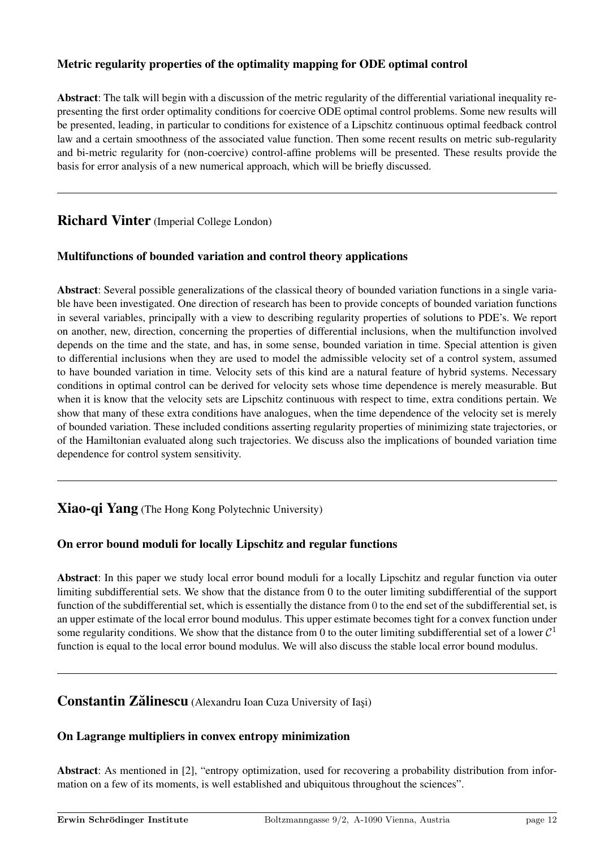# Metric regularity properties of the optimality mapping for ODE optimal control

Abstract: The talk will begin with a discussion of the metric regularity of the differential variational inequality representing the first order optimality conditions for coercive ODE optimal control problems. Some new results will be presented, leading, in particular to conditions for existence of a Lipschitz continuous optimal feedback control law and a certain smoothness of the associated value function. Then some recent results on metric sub-regularity and bi-metric regularity for (non-coercive) control-affine problems will be presented. These results provide the basis for error analysis of a new numerical approach, which will be briefly discussed.

# Richard Vinter (Imperial College London)

# Multifunctions of bounded variation and control theory applications

Abstract: Several possible generalizations of the classical theory of bounded variation functions in a single variable have been investigated. One direction of research has been to provide concepts of bounded variation functions in several variables, principally with a view to describing regularity properties of solutions to PDE's. We report on another, new, direction, concerning the properties of differential inclusions, when the multifunction involved depends on the time and the state, and has, in some sense, bounded variation in time. Special attention is given to differential inclusions when they are used to model the admissible velocity set of a control system, assumed to have bounded variation in time. Velocity sets of this kind are a natural feature of hybrid systems. Necessary conditions in optimal control can be derived for velocity sets whose time dependence is merely measurable. But when it is know that the velocity sets are Lipschitz continuous with respect to time, extra conditions pertain. We show that many of these extra conditions have analogues, when the time dependence of the velocity set is merely of bounded variation. These included conditions asserting regularity properties of minimizing state trajectories, or of the Hamiltonian evaluated along such trajectories. We discuss also the implications of bounded variation time dependence for control system sensitivity.

# Xiao-qi Yang (The Hong Kong Polytechnic University)

# On error bound moduli for locally Lipschitz and regular functions

Abstract: In this paper we study local error bound moduli for a locally Lipschitz and regular function via outer limiting subdifferential sets. We show that the distance from 0 to the outer limiting subdifferential of the support function of the subdifferential set, which is essentially the distance from 0 to the end set of the subdifferential set, is an upper estimate of the local error bound modulus. This upper estimate becomes tight for a convex function under some regularity conditions. We show that the distance from 0 to the outer limiting subdifferential set of a lower  $C^1$ function is equal to the local error bound modulus. We will also discuss the stable local error bound modulus.

# **Constantin Zălinescu** (Alexandru Ioan Cuza University of Iasi)

# On Lagrange multipliers in convex entropy minimization

Abstract: As mentioned in [2], "entropy optimization, used for recovering a probability distribution from information on a few of its moments, is well established and ubiquitous throughout the sciences".